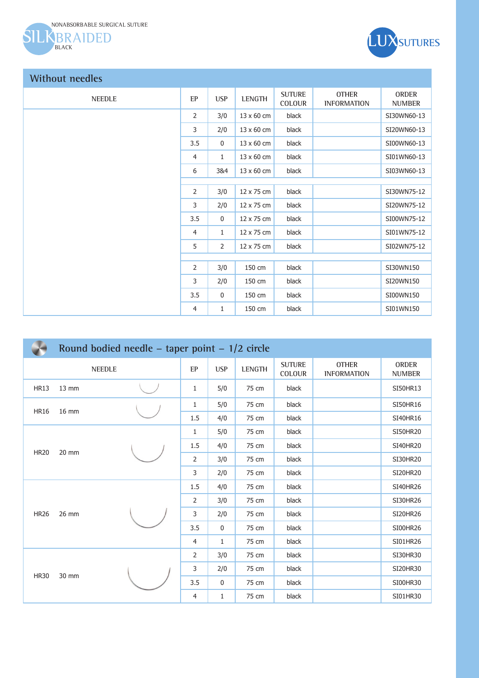



## **Without needles**

| <b>NEEDLE</b> | EP  | <b>USP</b>   | LENGTH            | <b>SUTURE</b><br><b>COLOUR</b> | <b>OTHER</b><br><b>INFORMATION</b> | ORDER<br><b>NUMBER</b> |
|---------------|-----|--------------|-------------------|--------------------------------|------------------------------------|------------------------|
|               | 2   | 3/0          | $13 \times 60$ cm | black                          |                                    | SI30WN60-13            |
|               | 3   | 2/0          | 13 x 60 cm        | black                          |                                    | SI20WN60-13            |
|               | 3.5 | $\mathbf 0$  | 13 x 60 cm        | black                          |                                    | SI00WN60-13            |
|               | 4   | $\mathbf{1}$ | $13 \times 60$ cm | black                          |                                    | SI01WN60-13            |
|               | 6   | 3&4          | 13 x 60 cm        | black                          |                                    | SI03WN60-13            |
|               |     |              |                   |                                |                                    |                        |
|               | 2   | 3/0          | 12 x 75 cm        | black                          |                                    | SI30WN75-12            |
|               | 3   | 2/0          | 12 x 75 cm        | black                          |                                    | SI20WN75-12            |
|               | 3.5 | $\mathbf 0$  | 12 x 75 cm        | black                          |                                    | SI00WN75-12            |
|               | 4   | $\mathbf{1}$ | 12 x 75 cm        | black                          |                                    | SI01WN75-12            |
|               | 5   | 2            | 12 x 75 cm        | black                          |                                    | SI02WN75-12            |
|               |     |              |                   |                                |                                    |                        |
|               | 2   | 3/0          | 150 cm            | black                          |                                    | SI30WN150              |
|               | 3   | 2/0          | 150 cm            | black                          |                                    | SI20WN150              |
|               | 3.5 | $\mathbf 0$  | 150 cm            | black                          |                                    | SI00WN150              |
|               | 4   | $\mathbf{1}$ | 150 cm            | black                          |                                    | SI01WN150              |

|             | Round bodied needle – taper point – $1/2$ circle |               |                |            |               |                         |                                    |                               |  |  |  |  |
|-------------|--------------------------------------------------|---------------|----------------|------------|---------------|-------------------------|------------------------------------|-------------------------------|--|--|--|--|
|             |                                                  | <b>NEEDLE</b> | EP             | <b>USP</b> | <b>LENGTH</b> | <b>SUTURE</b><br>COLOUR | <b>OTHER</b><br><b>INFORMATION</b> | <b>ORDER</b><br><b>NUMBER</b> |  |  |  |  |
| <b>HR13</b> | 13 mm                                            |               | 1              | 5/0        | 75 cm         | black                   |                                    | SI50HR13                      |  |  |  |  |
| <b>HR16</b> | 16 mm                                            |               | $\mathbf{1}$   | 5/0        | 75 cm         | black                   |                                    | SI50HR16                      |  |  |  |  |
|             |                                                  |               | 1.5            | 4/0        | 75 cm         | black                   |                                    | SI40HR16                      |  |  |  |  |
|             |                                                  |               | 1              | 5/0        | 75 cm         | black                   |                                    | SI50HR20                      |  |  |  |  |
|             | <b>HR20</b><br>20 mm                             |               | 1.5            | 4/0        | 75 cm         | black                   |                                    | SI40HR20                      |  |  |  |  |
|             |                                                  |               | 2              | 3/0        | 75 cm         | black                   |                                    | SI30HR20                      |  |  |  |  |
|             |                                                  |               | 3              | 2/0        | 75 cm         | black                   |                                    | SI20HR20                      |  |  |  |  |
|             |                                                  |               | 1.5            | 4/0        | 75 cm         | black                   |                                    | SI40HR26                      |  |  |  |  |
|             |                                                  |               | 2              | 3/0        | 75 cm         | black                   |                                    | SI30HR26                      |  |  |  |  |
| <b>HR26</b> | 26 mm                                            |               | 3              | 2/0        | 75 cm         | black                   |                                    | SI20HR26                      |  |  |  |  |
|             |                                                  |               | 3.5            | 0          | 75 cm         | black                   |                                    | SI00HR26                      |  |  |  |  |
|             |                                                  |               | 4              | 1          | 75 cm         | black                   |                                    | SI01HR26                      |  |  |  |  |
|             |                                                  |               | $\overline{2}$ | 3/0        | 75 cm         | black                   |                                    | SI30HR30                      |  |  |  |  |
| <b>HR30</b> | 30 mm                                            |               | 3              | 2/0        | 75 cm         | black                   |                                    | SI20HR30                      |  |  |  |  |
|             |                                                  |               | 3.5            | 0          | 75 cm         | black                   |                                    | SI00HR30                      |  |  |  |  |
|             |                                                  |               | 4              | 1          | 75 cm         | black                   |                                    | SI01HR30                      |  |  |  |  |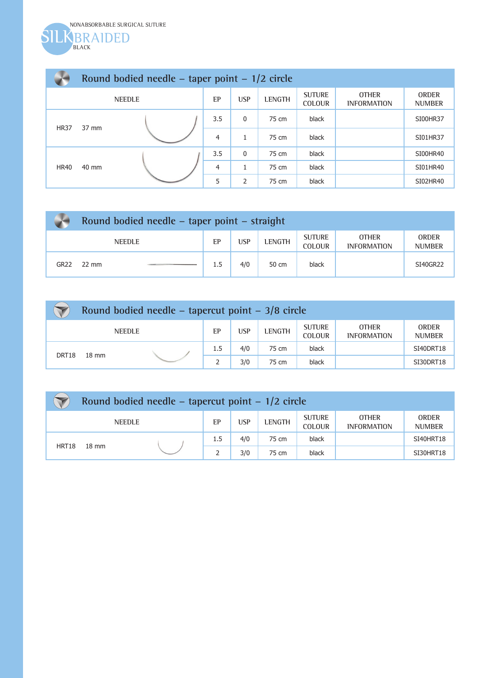

|             | Round bodied needle – taper point – $1/2$ circle |               |                |              |               |                                |                                    |                               |  |  |  |  |
|-------------|--------------------------------------------------|---------------|----------------|--------------|---------------|--------------------------------|------------------------------------|-------------------------------|--|--|--|--|
|             |                                                  | <b>NEEDLE</b> | EP             | <b>USP</b>   | <b>LENGTH</b> | <b>SUTURE</b><br><b>COLOUR</b> | <b>OTHER</b><br><b>INFORMATION</b> | <b>ORDER</b><br><b>NUMBER</b> |  |  |  |  |
| <b>HR37</b> |                                                  | 3.5           | 0              | 75 cm        | black         |                                | SI00HR37                           |                               |  |  |  |  |
|             | 37 mm                                            |               | $\overline{4}$ | 1            | 75 cm         | black                          |                                    | SI01HR37                      |  |  |  |  |
|             |                                                  |               | 3.5            | $\mathbf{0}$ | 75 cm         | black                          |                                    | SI00HR40                      |  |  |  |  |
| <b>HR40</b> | 40 mm                                            |               | 4              | 1            | 75 cm         | black                          |                                    | SI01HR40                      |  |  |  |  |
|             |                                                  |               | 5              | 2            | 75 cm         | black                          |                                    | SI02HR40                      |  |  |  |  |

|                                                                                                                            | Round bodied needle - taper point - straight |  |     |     |       |       |                               |          |  |  |  |
|----------------------------------------------------------------------------------------------------------------------------|----------------------------------------------|--|-----|-----|-------|-------|-------------------------------|----------|--|--|--|
| <b>SUTURE</b><br><b>OTHER</b><br><b>LENGTH</b><br><b>USP</b><br>EP<br><b>NEEDLE</b><br><b>COLOUR</b><br><b>INFORMATION</b> |                                              |  |     |     |       |       | <b>ORDER</b><br><b>NUMBER</b> |          |  |  |  |
| <b>GR22</b>                                                                                                                | $22 \text{ mm}$                              |  | 1.5 | 4/0 | 50 cm | black |                               | SI40GR22 |  |  |  |

|                                                                                                                            | Round bodied needle – tapercut point – $3/8$ circle |  |     |     |       |       |  |                               |  |  |  |
|----------------------------------------------------------------------------------------------------------------------------|-----------------------------------------------------|--|-----|-----|-------|-------|--|-------------------------------|--|--|--|
| <b>SUTURE</b><br><b>OTHER</b><br><b>LENGTH</b><br><b>USP</b><br>EP<br><b>NEEDLE</b><br><b>COLOUR</b><br><b>INFORMATION</b> |                                                     |  |     |     |       |       |  | <b>ORDER</b><br><b>NUMBER</b> |  |  |  |
| DRT18                                                                                                                      |                                                     |  | 1.5 | 4/0 | 75 cm | black |  | SI40DRT18                     |  |  |  |
|                                                                                                                            | $18 \text{ mm}$                                     |  |     | 3/0 | 75 cm | black |  | SI30DRT18                     |  |  |  |

|                                                                                                                                               | Round bodied needle – tapercut point – $1/2$ circle |  |     |     |       |       |  |                  |  |  |  |
|-----------------------------------------------------------------------------------------------------------------------------------------------|-----------------------------------------------------|--|-----|-----|-------|-------|--|------------------|--|--|--|
| <b>SUTURE</b><br><b>ORDER</b><br><b>OTHER</b><br><b>LENGTH</b><br>EP<br>USP<br><b>NEEDLE</b><br>COLOUR<br><b>INFORMATION</b><br><b>NUMBER</b> |                                                     |  |     |     |       |       |  |                  |  |  |  |
| HRT18                                                                                                                                         | $18 \text{ mm}$                                     |  | 1.5 | 4/0 | 75 cm | black |  | <b>SI40HRT18</b> |  |  |  |
|                                                                                                                                               |                                                     |  |     | 3/0 | 75 cm | black |  | SI30HRT18        |  |  |  |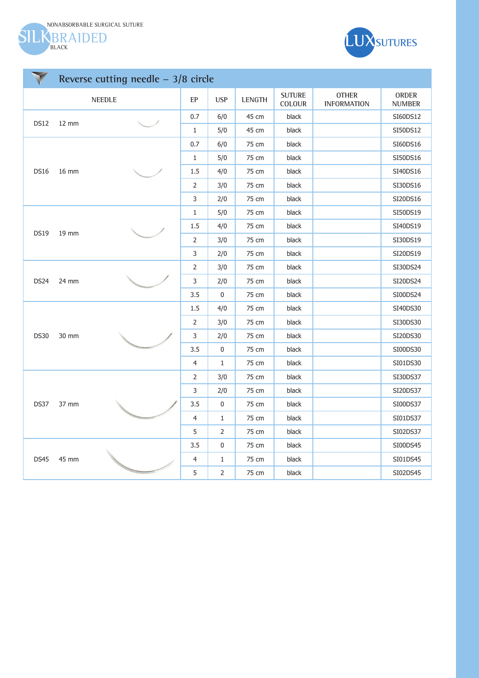



|             |                      | Reverse cutting needle $-3/8$ circle |                |                |        |                         |                                    |                        |
|-------------|----------------------|--------------------------------------|----------------|----------------|--------|-------------------------|------------------------------------|------------------------|
|             |                      | <b>NEEDLE</b>                        | EP             | <b>USP</b>     | LENGTH | <b>SUTURE</b><br>COLOUR | <b>OTHER</b><br><b>INFORMATION</b> | ORDER<br><b>NUMBER</b> |
| <b>DS12</b> |                      |                                      | 0.7            | 6/0            | 45 cm  | black                   |                                    | SI60DS12               |
|             | 12 mm                |                                      | $\mathbf{1}$   | 5/0            | 45 cm  | black                   |                                    | SI50DS12               |
|             |                      |                                      | 0.7            | 6/0            | 75 cm  | black                   |                                    | SI60DS16               |
|             |                      |                                      | $\mathbf{1}$   | 5/0            | 75 cm  | black                   |                                    | SI50DS16               |
| <b>DS16</b> | 16 mm                |                                      | $1.5\,$        | 4/0            | 75 cm  | black                   |                                    | SI40DS16               |
|             |                      |                                      | 2              | 3/0            | 75 cm  | black                   |                                    | SI30DS16               |
|             |                      |                                      | 3              | 2/0            | 75 cm  | black                   |                                    | SI20DS16               |
|             |                      |                                      | $\mathbf{1}$   | 5/0            | 75 cm  | black                   |                                    | SI50DS19               |
|             |                      |                                      | $1.5\,$        | 4/0            | 75 cm  | black                   |                                    | SI40DS19               |
|             | <b>DS19</b><br>19 mm |                                      | 2              | 3/0            | 75 cm  | black                   |                                    | SI30DS19               |
|             |                      |                                      | 3              | 2/0            | 75 cm  | black                   |                                    | SI20DS19               |
|             |                      |                                      | $\overline{2}$ | 3/0            | 75 cm  | black                   |                                    | SI30DS24               |
| DS24        | 24 mm                |                                      | 3              | 2/0            | 75 cm  | black                   |                                    | SI20DS24               |
|             |                      |                                      | 3.5            | $\mathbf 0$    | 75 cm  | black                   |                                    | SI00DS24               |
|             |                      |                                      | 1.5            | 4/0            | 75 cm  | black                   |                                    | SI40DS30               |
|             |                      |                                      | $\overline{2}$ | 3/0            | 75 cm  | black                   |                                    | SI30DS30               |
| <b>DS30</b> | 30 mm                |                                      | 3              | 2/0            | 75 cm  | black                   |                                    | SI20DS30               |
|             |                      |                                      | 3.5            | $\pmb{0}$      | 75 cm  | black                   |                                    | SI00DS30               |
|             |                      |                                      | 4              | 1              | 75 cm  | black                   |                                    | SI01DS30               |
|             |                      |                                      | 2              | 3/0            | 75 cm  | black                   |                                    | SI30DS37               |
|             |                      |                                      | 3              | 2/0            | 75 cm  | black                   |                                    | SI20DS37               |
| DS37        | 37 mm                |                                      | 3.5            | 0              | 75 cm  | black                   |                                    | SI00DS37               |
|             |                      |                                      | $\overline{4}$ | $\mathbf{1}$   | 75 cm  | black                   |                                    | SI01DS37               |
|             |                      |                                      | 5              | $\overline{2}$ | 75 cm  | black                   |                                    | SI02DS37               |
|             |                      |                                      | 3.5            | $\pmb{0}$      | 75 cm  | black                   |                                    | SI00DS45               |
| <b>DS45</b> | 45 mm                |                                      | 4              | 1              | 75 cm  | black                   |                                    | SI01DS45               |
|             |                      |                                      | 5              | $\overline{2}$ | 75 cm  | black                   |                                    | SI02DS45               |